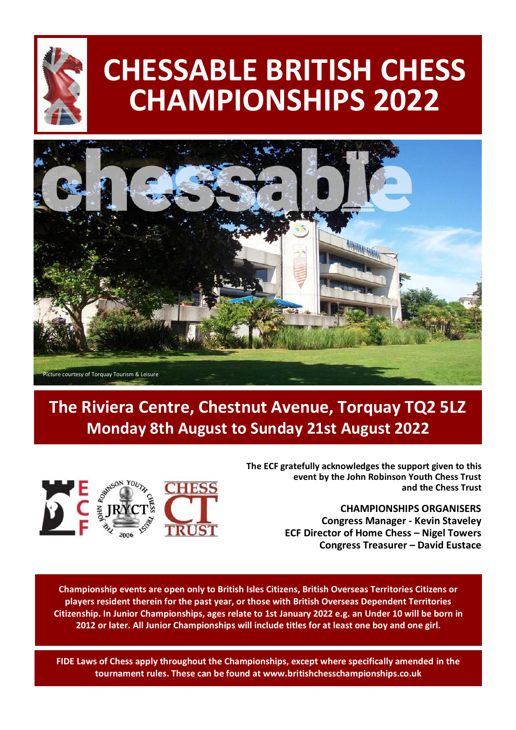

# **CHESSABLE BRITISH CHESS CHAMPIONSHIPS 2022**



# **The Riviera Centre, Chestnut Avenue, Torquay TQ2 5LZ Monday 8th August to Sunday 21st August 2022**



**The ECF gratefully acknowledges the support given to this event by the John Robinson Youth Chess Trust and the Chess Trust**

> **CHAMPIONSHIPS ORGANISERS Congress Manager - Kevin Staveley ECF Director of Home Chess – Nigel Towers Congress Treasurer – David Eustace**

**Championship events are open only to British Isles Citizens, British Overseas Territories Citizens or players resident therein for the past year, or those with British Overseas Dependent Territories Citizenship. In Junior Championships, ages relate to 1st January 2022 e.g. an Under 10 will be born in 2012 or later. All Junior Championships will include titles for at least one boy and one girl.**

**FIDE Laws of Chess apply throughout the Championships, except where specifically amended in the tournament rules. These can be found at www.britishchesschampionships.co.uk**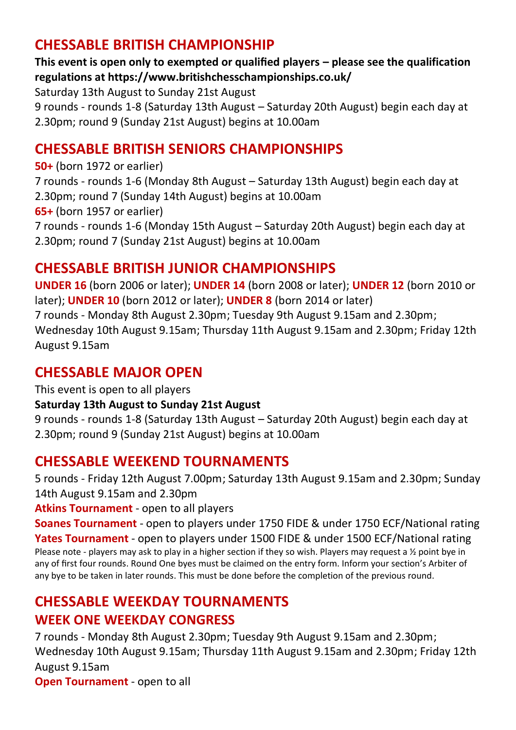## **CHESSABLE BRITISH CHAMPIONSHIP**

**This event is open only to exempted or qualified players – please see the qualification regulations at https://www.britishchesschampionships.co.uk/**

Saturday 13th August to Sunday 21st August

9 rounds - rounds 1-8 (Saturday 13th August – Saturday 20th August) begin each day at 2.30pm; round 9 (Sunday 21st August) begins at 10.00am

## **CHESSABLE BRITISH SENIORS CHAMPIONSHIPS**

**50+** (born 1972 or earlier) 7 rounds - rounds 1-6 (Monday 8th August – Saturday 13th August) begin each day at 2.30pm; round 7 (Sunday 14th August) begins at 10.00am **65+** (born 1957 or earlier) 7 rounds - rounds 1-6 (Monday 15th August – Saturday 20th August) begin each day at 2.30pm; round 7 (Sunday 21st August) begins at 10.00am

## **CHESSABLE BRITISH JUNIOR CHAMPIONSHIPS**

**UNDER 16** (born 2006 or later); **UNDER 14** (born 2008 or later); **UNDER 12** (born 2010 or later); **UNDER 10** (born 2012 or later); **UNDER 8** (born 2014 or later) 7 rounds - Monday 8th August 2.30pm; Tuesday 9th August 9.15am and 2.30pm; Wednesday 10th August 9.15am; Thursday 11th August 9.15am and 2.30pm; Friday 12th August 9.15am

## **CHESSABLE MAJOR OPEN**

This event is open to all players

#### **Saturday 13th August to Sunday 21st August**

9 rounds - rounds 1-8 (Saturday 13th August – Saturday 20th August) begin each day at 2.30pm; round 9 (Sunday 21st August) begins at 10.00am

## **CHESSABLE WEEKEND TOURNAMENTS**

5 rounds - Friday 12th August 7.00pm; Saturday 13th August 9.15am and 2.30pm; Sunday 14th August 9.15am and 2.30pm

**Atkins Tournament** - open to all players

**Soanes Tournament** - open to players under 1750 FIDE & under 1750 ECF/National rating **Yates Tournament** - open to players under 1500 FIDE & under 1500 ECF/National rating Please note - players may ask to play in a higher section if they so wish. Players may request a ½ point bye in any of first four rounds. Round One byes must be claimed on the entry form. Inform your section's Arbiter of any bye to be taken in later rounds. This must be done before the completion of the previous round.

# **CHESSABLE WEEKDAY TOURNAMENTS**

#### **WEEK ONE WEEKDAY CONGRESS**

7 rounds - Monday 8th August 2.30pm; Tuesday 9th August 9.15am and 2.30pm; Wednesday 10th August 9.15am; Thursday 11th August 9.15am and 2.30pm; Friday 12th August 9.15am

**Open Tournament** - open to all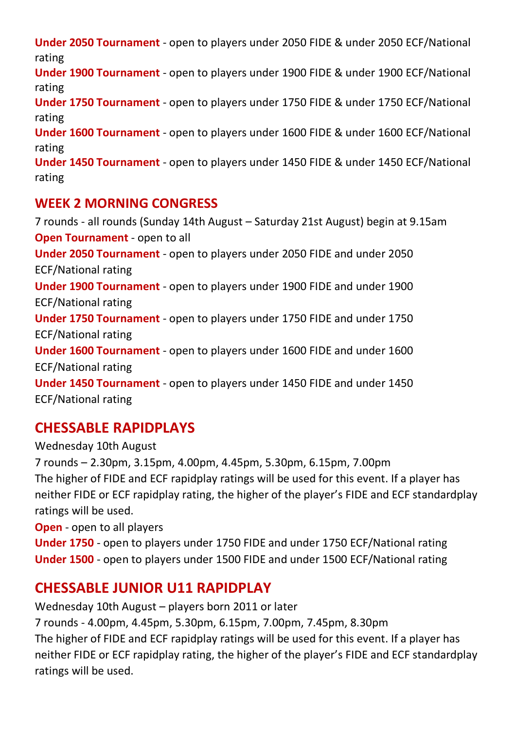**Under 2050 Tournament** - open to players under 2050 FIDE & under 2050 ECF/National rating **Under 1900 Tournament** - open to players under 1900 FIDE & under 1900 ECF/National rating

**Under 1750 Tournament** - open to players under 1750 FIDE & under 1750 ECF/National rating

**Under 1600 Tournament** - open to players under 1600 FIDE & under 1600 ECF/National rating

**Under 1450 Tournament** - open to players under 1450 FIDE & under 1450 ECF/National rating

#### **WEEK 2 MORNING CONGRESS**

7 rounds - all rounds (Sunday 14th August – Saturday 21st August) begin at 9.15am **Open Tournament** - open to all **Under 2050 Tournament** - open to players under 2050 FIDE and under 2050 ECF/National rating **Under 1900 Tournament** - open to players under 1900 FIDE and under 1900 ECF/National rating **Under 1750 Tournament** - open to players under 1750 FIDE and under 1750 ECF/National rating **Under 1600 Tournament** - open to players under 1600 FIDE and under 1600 ECF/National rating **Under 1450 Tournament** - open to players under 1450 FIDE and under 1450 ECF/National rating

## **CHESSABLE RAPIDPLAYS**

Wednesday 10th August 7 rounds – 2.30pm, 3.15pm, 4.00pm, 4.45pm, 5.30pm, 6.15pm, 7.00pm The higher of FIDE and ECF rapidplay ratings will be used for this event. If a player has neither FIDE or ECF rapidplay rating, the higher of the player's FIDE and ECF standardplay ratings will be used.

**Open** - open to all players

**Under 1750** - open to players under 1750 FIDE and under 1750 ECF/National rating **Under 1500** - open to players under 1500 FIDE and under 1500 ECF/National rating

## **CHESSABLE JUNIOR U11 RAPIDPLAY**

Wednesday 10th August – players born 2011 or later 7 rounds - 4.00pm, 4.45pm, 5.30pm, 6.15pm, 7.00pm, 7.45pm, 8.30pm The higher of FIDE and ECF rapidplay ratings will be used for this event. If a player has neither FIDE or ECF rapidplay rating, the higher of the player's FIDE and ECF standardplay ratings will be used.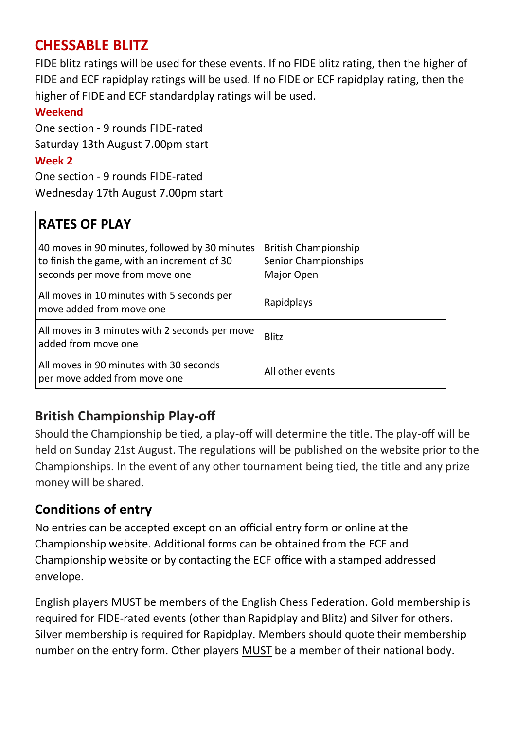## **CHESSABLE BLITZ**

FIDE blitz ratings will be used for these events. If no FIDE blitz rating, then the higher of FIDE and ECF rapidplay ratings will be used. If no FIDE or ECF rapidplay rating, then the higher of FIDE and ECF standardplay ratings will be used.

#### **Weekend**

One section - 9 rounds FIDE-rated Saturday 13th August 7.00pm start **Week 2**

One section - 9 rounds FIDE-rated Wednesday 17th August 7.00pm start

## **RATES OF PLAY**

| 40 moves in 90 minutes, followed by 30 minutes<br>to finish the game, with an increment of 30<br>seconds per move from move one | <b>British Championship</b><br>Senior Championships<br>Major Open |
|---------------------------------------------------------------------------------------------------------------------------------|-------------------------------------------------------------------|
| All moves in 10 minutes with 5 seconds per<br>move added from move one                                                          | Rapidplays                                                        |
| All moves in 3 minutes with 2 seconds per move<br>added from move one                                                           | Blitz                                                             |
| All moves in 90 minutes with 30 seconds<br>per move added from move one                                                         | All other events                                                  |

## **British Championship Play-off**

Should the Championship be tied, a play-off will determine the title. The play-off will be held on Sunday 21st August. The regulations will be published on the website prior to the Championships. In the event of any other tournament being tied, the title and any prize money will be shared.

## **Conditions of entry**

No entries can be accepted except on an official entry form or online at the Championship website. Additional forms can be obtained from the ECF and Championship website or by contacting the ECF office with a stamped addressed envelope.

English players MUST be members of the English Chess Federation. Gold membership is required for FIDE-rated events (other than Rapidplay and Blitz) and Silver for others. Silver membership is required for Rapidplay. Members should quote their membership number on the entry form. Other players MUST be a member of their national body.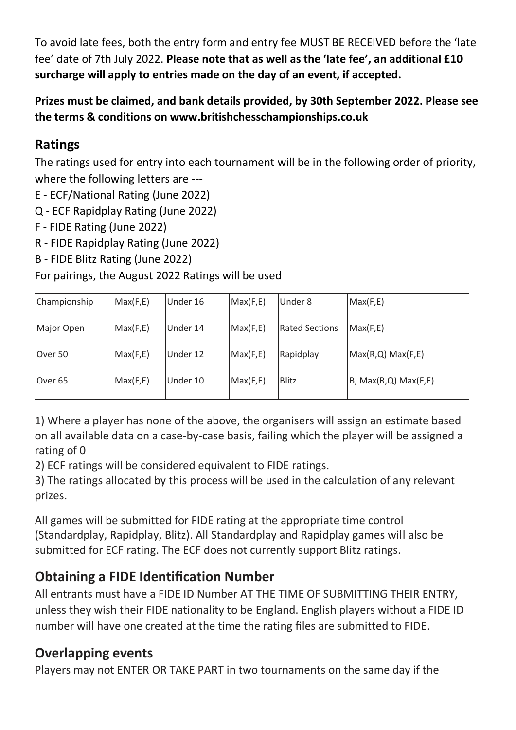To avoid late fees, both the entry form and entry fee MUST BE RECEIVED before the 'late fee' date of 7th July 2022. **Please note that as well as the 'late fee', an additional £10 surcharge will apply to entries made on the day of an event, if accepted.**

**Prizes must be claimed, and bank details provided, by 30th September 2022. Please see the terms & conditions on www.britishchesschampionships.co.uk**

#### **Ratings**

The ratings used for entry into each tournament will be in the following order of priority, where the following letters are ---

- E ECF/National Rating (June 2022)
- Q ECF Rapidplay Rating (June 2022)
- F FIDE Rating (June 2022)
- R FIDE Rapidplay Rating (June 2022)
- B FIDE Blitz Rating (June 2022)

For pairings, the August 2022 Ratings will be used

| Championship       | Max(F,E) | Under 16 | Max(F,E) | Under 8               | Max(F,E)             |
|--------------------|----------|----------|----------|-----------------------|----------------------|
| Major Open         | Max(F,E) | Under 14 | Max(F,E) | <b>Rated Sections</b> | Max(F,E)             |
| Over 50            | Max(F,E) | Under 12 | Max(F,E) | Rapidplay             | Max(R,Q) Max(F,E)    |
| Over <sub>65</sub> | Max(F,E) | Under 10 | Max(F,E) | Blitz                 | B, Max(R,Q) Max(F,E) |

1) Where a player has none of the above, the organisers will assign an estimate based on all available data on a case-by-case basis, failing which the player will be assigned a rating of 0

2) ECF ratings will be considered equivalent to FIDE ratings.

3) The ratings allocated by this process will be used in the calculation of any relevant prizes.

All games will be submitted for FIDE rating at the appropriate time control (Standardplay, Rapidplay, Blitz). All Standardplay and Rapidplay games will also be submitted for ECF rating. The ECF does not currently support Blitz ratings.

## **Obtaining a FIDE Identification Number**

All entrants must have a FIDE ID Number AT THE TIME OF SUBMITTING THEIR ENTRY, unless they wish their FIDE nationality to be England. English players without a FIDE ID number will have one created at the time the rating files are submitted to FIDE.

#### **Overlapping events**

Players may not ENTER OR TAKE PART in two tournaments on the same day if the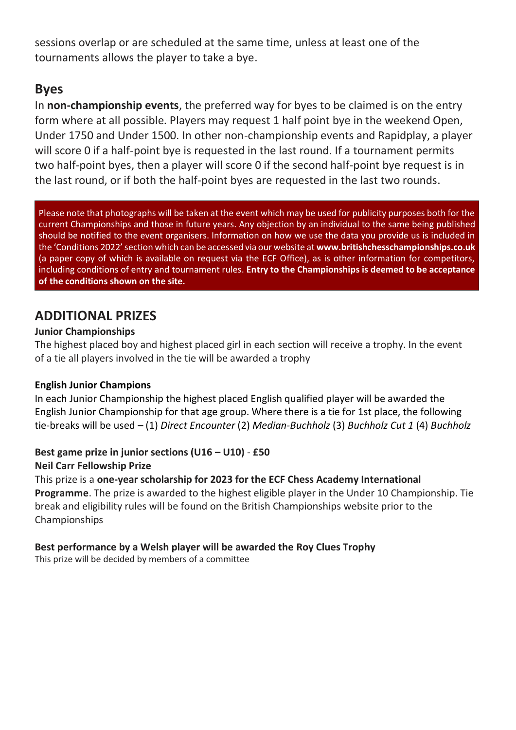sessions overlap or are scheduled at the same time, unless at least one of the tournaments allows the player to take a bye.

#### **Byes**

In **non-championship events**, the preferred way for byes to be claimed is on the entry form where at all possible. Players may request 1 half point bye in the weekend Open, Under 1750 and Under 1500. In other non-championship events and Rapidplay, a player will score 0 if a half-point bye is requested in the last round. If a tournament permits two half-point byes, then a player will score 0 if the second half-point bye request is in the last round, or if both the half-point byes are requested in the last two rounds.

Please note that photographs will be taken at the event which may be used for publicity purposes both for the current Championships and those in future years. Any objection by an individual to the same being published should be notified to the event organisers. Information on how we use the data you provide us is included in the 'Conditions 2022' section which can be accessed via our website at **www.britishchesschampionships.co.uk** (a paper copy of which is available on request via the ECF Office), as is other information for competitors, including conditions of entry and tournament rules. **Entry to the Championships is deemed to be acceptance of the conditions shown on the site.** 

#### **ADDITIONAL PRIZES**

#### **Junior Championships**

The highest placed boy and highest placed girl in each section will receive a trophy. In the event of a tie all players involved in the tie will be awarded a trophy

#### **English Junior Champions**

In each Junior Championship the highest placed English qualified player will be awarded the English Junior Championship for that age group. Where there is a tie for 1st place, the following tie-breaks will be used – (1) *Direct Encounter* (2) *Median-Buchholz* (3) *Buchholz Cut 1* (4) *Buchholz*

#### **Best game prize in junior sections (U16 – U10)** - **£50 Neil Carr Fellowship Prize**

This prize is a **one-year scholarship for 2023 for the ECF Chess Academy International Programme**. The prize is awarded to the highest eligible player in the Under 10 Championship. Tie break and eligibility rules will be found on the British Championships website prior to the Championships

#### **Best performance by a Welsh player will be awarded the Roy Clues Trophy**

This prize will be decided by members of a committee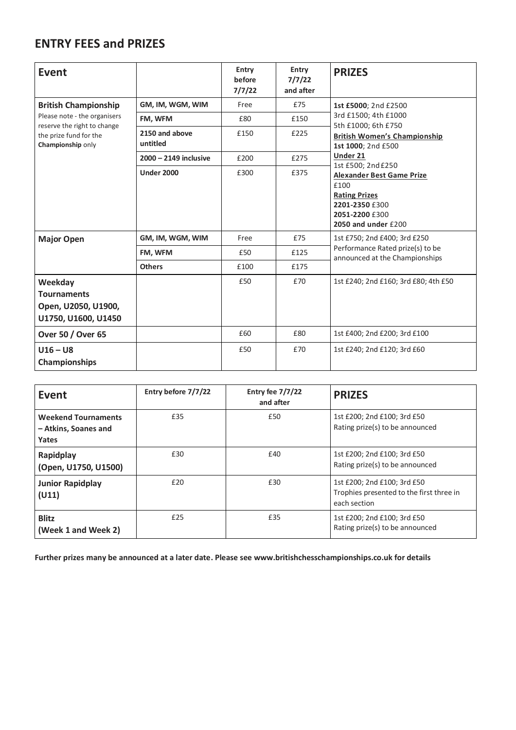#### **ENTRY FEES and PRIZES**

| Event                                                                                                      |                            | Entry<br>before<br>7/7/22 | Entry<br>7/7/22<br>and after | <b>PRIZES</b>                                                                                                               |
|------------------------------------------------------------------------------------------------------------|----------------------------|---------------------------|------------------------------|-----------------------------------------------------------------------------------------------------------------------------|
| <b>British Championship</b>                                                                                | GM, IM, WGM, WIM           | Free                      | £75                          | 1st £5000: 2nd £2500                                                                                                        |
| Please note - the organisers<br>reserve the right to change<br>the prize fund for the<br>Championship only | FM. WFM                    | £80                       | £150                         | 3rd £1500; 4th £1000<br>5th £1000; 6th £750                                                                                 |
|                                                                                                            | 2150 and above<br>untitled | £150                      | £225                         | <b>British Women's Championship</b><br>1st 1000: 2nd £500                                                                   |
|                                                                                                            | 2000 - 2149 inclusive      | £200                      | £275                         | Under 21<br>1st £500; 2nd £250                                                                                              |
|                                                                                                            | <b>Under 2000</b>          | £300                      | £375                         | <b>Alexander Best Game Prize</b><br>£100<br><b>Rating Prizes</b><br>2201-2350 £300<br>2051-2200 £300<br>2050 and under £200 |
| <b>Major Open</b>                                                                                          | GM, IM, WGM, WIM           | Free                      | £75                          | 1st £750; 2nd £400; 3rd £250                                                                                                |
|                                                                                                            | FM, WFM                    | £50                       | £125                         | Performance Rated prize(s) to be<br>announced at the Championships                                                          |
|                                                                                                            | <b>Others</b>              | £100                      | £175                         |                                                                                                                             |
| Weekday<br><b>Tournaments</b><br>Open, U2050, U1900,<br>U1750, U1600, U1450                                |                            | £50                       | £70                          | 1st £240; 2nd £160; 3rd £80; 4th £50                                                                                        |
| Over 50 / Over 65                                                                                          |                            | £60                       | £80                          | 1st £400; 2nd £200; 3rd £100                                                                                                |
| $U16-U8$<br>Championships                                                                                  |                            | £50                       | £70                          | 1st £240; 2nd £120; 3rd £60                                                                                                 |

| Event                                                       | Entry before 7/7/22 | Entry fee 7/7/22<br>and after | <b>PRIZES</b>                                                                           |
|-------------------------------------------------------------|---------------------|-------------------------------|-----------------------------------------------------------------------------------------|
| <b>Weekend Tournaments</b><br>- Atkins, Soanes and<br>Yates | £35                 | £50                           | 1st £200; 2nd £100; 3rd £50<br>Rating prize(s) to be announced                          |
| Rapidplay<br>(Open, U1750, U1500)                           | £30                 | £40                           | 1st £200; 2nd £100; 3rd £50<br>Rating prize(s) to be announced                          |
| Junior Rapidplay<br>(U11)                                   | £20                 | £30                           | 1st £200; 2nd £100; 3rd £50<br>Trophies presented to the first three in<br>each section |
| <b>Blitz</b><br>(Week 1 and Week 2)                         | £25                 | £35                           | 1st £200; 2nd £100; 3rd £50<br>Rating prize(s) to be announced                          |

**Further prizes many be announced at a later date. Please see www.britishchesschampionships.co.uk for details**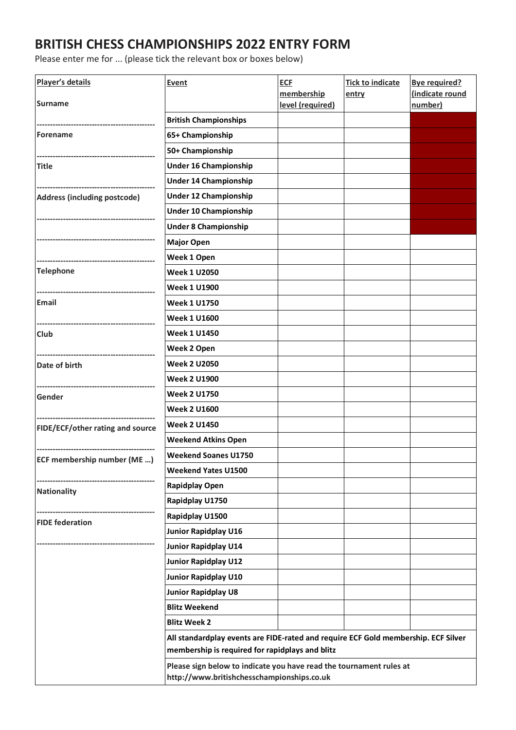#### **BRITISH CHESS CHAMPIONSHIPS 2022 ENTRY FORM**

Please enter me for ... (please tick the relevant box or boxes below)

| Player's details                 | <b>Event</b>                                                                                                                          | <b>ECF</b>                            | <b>Tick to indicate</b> | <b>Bye required?</b>      |
|----------------------------------|---------------------------------------------------------------------------------------------------------------------------------------|---------------------------------------|-------------------------|---------------------------|
| Surname                          |                                                                                                                                       | membership<br><u>level (required)</u> | entry                   | indicate round<br>number) |
|                                  | <b>British Championships</b>                                                                                                          |                                       |                         |                           |
| Forename                         | 65+ Championship                                                                                                                      |                                       |                         |                           |
|                                  | 50+ Championship                                                                                                                      |                                       |                         |                           |
| Title                            | Under 16 Championship                                                                                                                 |                                       |                         |                           |
|                                  | Under 14 Championship                                                                                                                 |                                       |                         |                           |
| Address (including postcode)     | Under 12 Championship                                                                                                                 |                                       |                         |                           |
|                                  | Under 10 Championship                                                                                                                 |                                       |                         |                           |
|                                  | <b>Under 8 Championship</b>                                                                                                           |                                       |                         |                           |
|                                  | <b>Major Open</b>                                                                                                                     |                                       |                         |                           |
|                                  | Week 1 Open                                                                                                                           |                                       |                         |                           |
| <b>Telephone</b>                 | Week 1 U2050                                                                                                                          |                                       |                         |                           |
|                                  | Week 1 U1900                                                                                                                          |                                       |                         |                           |
| Email                            | Week 1 U1750                                                                                                                          |                                       |                         |                           |
|                                  | Week 1 U1600                                                                                                                          |                                       |                         |                           |
| Club                             | Week 1 U1450                                                                                                                          |                                       |                         |                           |
|                                  | Week 2 Open                                                                                                                           |                                       |                         |                           |
| Date of birth                    | Week 2 U2050                                                                                                                          |                                       |                         |                           |
|                                  | Week 2 U1900                                                                                                                          |                                       |                         |                           |
| Gender                           | Week 2 U1750                                                                                                                          |                                       |                         |                           |
|                                  | Week 2 U1600                                                                                                                          |                                       |                         |                           |
| FIDE/ECF/other rating and source | Week 2 U1450                                                                                                                          |                                       |                         |                           |
|                                  | <b>Weekend Atkins Open</b>                                                                                                            |                                       |                         |                           |
| ECF membership number (ME )      | <b>Weekend Soanes U1750</b>                                                                                                           |                                       |                         |                           |
|                                  | Weekend Yates U1500                                                                                                                   |                                       |                         |                           |
| Nationality                      | Rapidplay Open                                                                                                                        |                                       |                         |                           |
|                                  | Rapidplay U1750                                                                                                                       |                                       |                         |                           |
| <b>FIDE</b> federation           | Rapidplay U1500                                                                                                                       |                                       |                         |                           |
|                                  | Junior Rapidplay U16                                                                                                                  |                                       |                         |                           |
|                                  | Junior Rapidplay U14                                                                                                                  |                                       |                         |                           |
|                                  | Junior Rapidplay U12                                                                                                                  |                                       |                         |                           |
|                                  | Junior Rapidplay U10                                                                                                                  |                                       |                         |                           |
|                                  | Junior Rapidplay U8                                                                                                                   |                                       |                         |                           |
|                                  | <b>Blitz Weekend</b>                                                                                                                  |                                       |                         |                           |
|                                  | <b>Blitz Week 2</b>                                                                                                                   |                                       |                         |                           |
|                                  | All standardplay events are FIDE-rated and require ECF Gold membership. ECF Silver<br>membership is required for rapidplays and blitz |                                       |                         |                           |
|                                  | Please sign below to indicate you have read the tournament rules at<br>http://www.britishchesschampionships.co.uk                     |                                       |                         |                           |